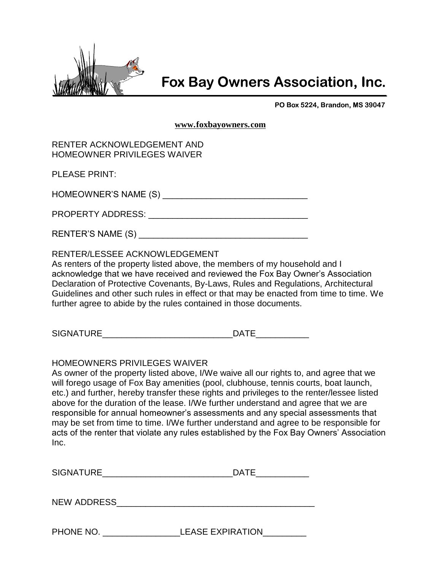

## **Fox Bay Owners Association, Inc.**

PO Box 5224, Brandon, MS 39047

**[www.foxbayowners.com](http://www.foxbayowners.com/)**

| RENTER ACKNOWLEDGEMENT AND         |
|------------------------------------|
| <b>HOMEOWNER PRIVILEGES WAIVER</b> |

PLEASE PRINT:

HOMEOWNER'S NAME (S) \_\_\_\_\_\_\_\_\_\_\_\_\_\_\_\_\_\_\_\_\_\_\_\_\_\_\_\_\_\_

PROPERTY ADDRESS: **with a strategies of the strategies of the strategies of the strategies of the strategies of the strategies of the strategies of the strategies of the strategies of the strategies of the strategies of th** 

RENTER'S NAME (S)

## RENTER/LESSEE ACKNOWLEDGEMENT

As renters of the property listed above, the members of my household and I acknowledge that we have received and reviewed the Fox Bay Owner's Association Declaration of Protective Covenants, By-Laws, Rules and Regulations, Architectural Guidelines and other such rules in effect or that may be enacted from time to time. We further agree to abide by the rules contained in those documents.

SIGNATURE DATE

## HOMEOWNERS PRIVILEGES WAIVER

As owner of the property listed above, I/We waive all our rights to, and agree that we will forego usage of Fox Bay amenities (pool, clubhouse, tennis courts, boat launch, etc.) and further, hereby transfer these rights and privileges to the renter/lessee listed above for the duration of the lease. I/We further understand and agree that we are responsible for annual homeowner's assessments and any special assessments that may be set from time to time. I/We further understand and agree to be responsible for acts of the renter that violate any rules established by the Fox Bay Owners' Association Inc.

| $\sim$<br>$-$<br>∣ ∧ — I<br>וחר<br>וט<br>** * * * * * * <del>*</del> |
|----------------------------------------------------------------------|
|----------------------------------------------------------------------|

NEW ADDRESS\_\_\_\_\_\_\_\_\_\_\_\_\_\_\_\_\_\_\_\_\_\_\_\_\_\_\_\_\_\_\_\_\_\_\_\_\_\_\_\_\_

PHONE NO. THE LEASE EXPIRATION